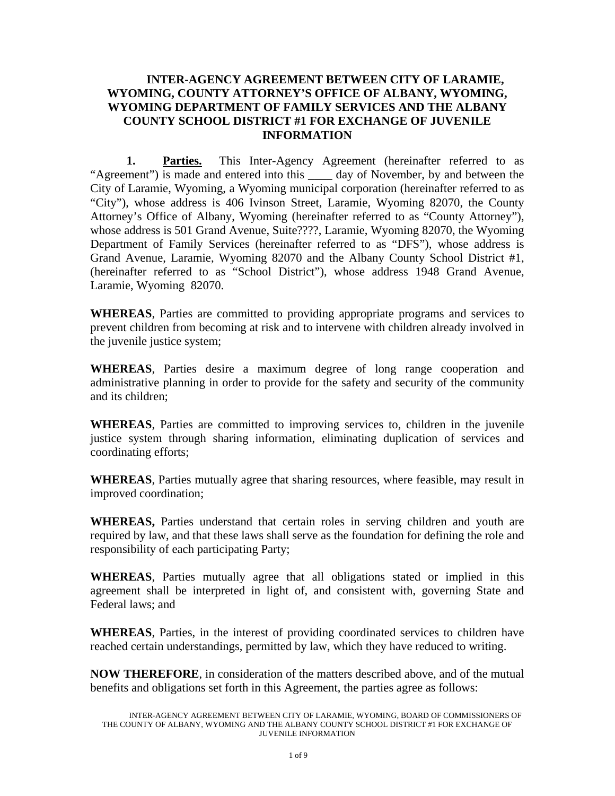### **INTER-AGENCY AGREEMENT BETWEEN CITY OF LARAMIE, WYOMING, COUNTY ATTORNEY'S OFFICE OF ALBANY, WYOMING, WYOMING DEPARTMENT OF FAMILY SERVICES AND THE ALBANY COUNTY SCHOOL DISTRICT #1 FOR EXCHANGE OF JUVENILE INFORMATION**

**1. Parties.** This Inter-Agency Agreement (hereinafter referred to as "Agreement") is made and entered into this \_\_\_\_ day of November, by and between the City of Laramie, Wyoming, a Wyoming municipal corporation (hereinafter referred to as "City"), whose address is 406 Ivinson Street, Laramie, Wyoming 82070, the County Attorney's Office of Albany, Wyoming (hereinafter referred to as "County Attorney"), whose address is 501 Grand Avenue, Suite????, Laramie, Wyoming 82070, the Wyoming Department of Family Services (hereinafter referred to as "DFS"), whose address is Grand Avenue, Laramie, Wyoming 82070 and the Albany County School District #1, (hereinafter referred to as "School District"), whose address 1948 Grand Avenue, Laramie, Wyoming 82070.

**WHEREAS**, Parties are committed to providing appropriate programs and services to prevent children from becoming at risk and to intervene with children already involved in the juvenile justice system;

**WHEREAS**, Parties desire a maximum degree of long range cooperation and administrative planning in order to provide for the safety and security of the community and its children;

**WHEREAS**, Parties are committed to improving services to, children in the juvenile justice system through sharing information, eliminating duplication of services and coordinating efforts;

**WHEREAS**, Parties mutually agree that sharing resources, where feasible, may result in improved coordination;

**WHEREAS,** Parties understand that certain roles in serving children and youth are required by law, and that these laws shall serve as the foundation for defining the role and responsibility of each participating Party;

**WHEREAS**, Parties mutually agree that all obligations stated or implied in this agreement shall be interpreted in light of, and consistent with, governing State and Federal laws; and

**WHEREAS**, Parties, in the interest of providing coordinated services to children have reached certain understandings, permitted by law, which they have reduced to writing.

**NOW THEREFORE**, in consideration of the matters described above, and of the mutual benefits and obligations set forth in this Agreement, the parties agree as follows: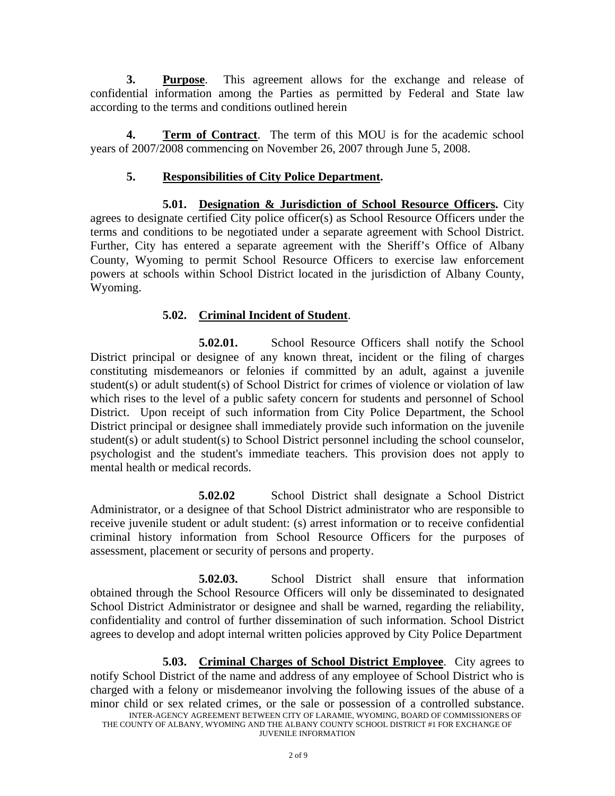**3. Purpose**. This agreement allows for the exchange and release of confidential information among the Parties as permitted by Federal and State law according to the terms and conditions outlined herein

**4. Term of Contract**. The term of this MOU is for the academic school years of 2007/2008 commencing on November 26, 2007 through June 5, 2008.

## **5. Responsibilities of City Police Department.**

 **5.01. Designation & Jurisdiction of School Resource Officers.** City agrees to designate certified City police officer(s) as School Resource Officers under the terms and conditions to be negotiated under a separate agreement with School District. Further, City has entered a separate agreement with the Sheriff's Office of Albany County, Wyoming to permit School Resource Officers to exercise law enforcement powers at schools within School District located in the jurisdiction of Albany County, Wyoming.

## **5.02. Criminal Incident of Student**.

 **5.02.01.** School Resource Officers shall notify the School District principal or designee of any known threat, incident or the filing of charges constituting misdemeanors or felonies if committed by an adult, against a juvenile student(s) or adult student(s) of School District for crimes of violence or violation of law which rises to the level of a public safety concern for students and personnel of School District.Upon receipt of such information from City Police Department, the School District principal or designee shall immediately provide such information on the juvenile student(s) or adult student(s) to School District personnel including the school counselor, psychologist and the student's immediate teachers. This provision does not apply to mental health or medical records.

 **5.02.02** School District shall designate a School District Administrator, or a designee of that School District administrator who are responsible to receive juvenile student or adult student: (s) arrest information or to receive confidential criminal history information from School Resource Officers for the purposes of assessment, placement or security of persons and property.

 **5.02.03.** School District shall ensure that information obtained through the School Resource Officers will only be disseminated to designated School District Administrator or designee and shall be warned, regarding the reliability, confidentiality and control of further dissemination of such information. School District agrees to develop and adopt internal written policies approved by City Police Department

INTER-AGENCY AGREEMENT BETWEEN CITY OF LARAMIE, WYOMING, BOARD OF COMMISSIONERS OF THE COUNTY OF ALBANY, WYOMING AND THE ALBANY COUNTY SCHOOL DISTRICT #1 FOR EXCHANGE OF JUVENILE INFORMATION **5.03. Criminal Charges of School District Employee**. City agrees to notify School District of the name and address of any employee of School District who is charged with a felony or misdemeanor involving the following issues of the abuse of a minor child or sex related crimes*,* or the sale or possession of a controlled substance.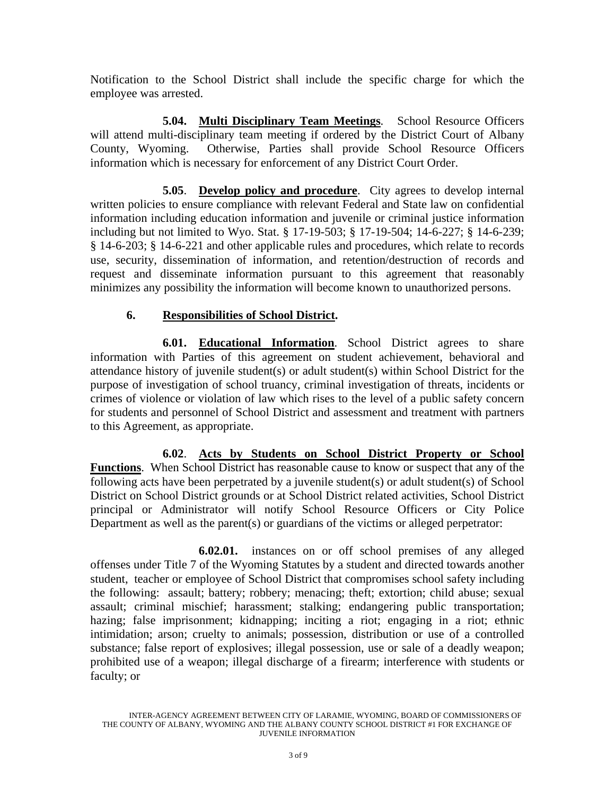Notification to the School District shall include the specific charge for which the employee was arrested.

 **5.04. Multi Disciplinary Team Meetings**. School Resource Officers will attend multi-disciplinary team meeting if ordered by the District Court of Albany County, Wyoming. Otherwise, Parties shall provide School Resource Officers information which is necessary for enforcement of any District Court Order.

 **5.05**. **Develop policy and procedure**. City agrees to develop internal written policies to ensure compliance with relevant Federal and State law on confidential information including education information and juvenile or criminal justice information including but not limited to Wyo. Stat. § 17-19-503; § 17-19-504; 14-6-227; § 14-6-239; § 14-6-203; § 14-6-221 and other applicable rules and procedures, which relate to records use, security, dissemination of information, and retention/destruction of records and request and disseminate information pursuant to this agreement that reasonably minimizes any possibility the information will become known to unauthorized persons.

## **6. Responsibilities of School District.**

 **6.01. Educational Information**. School District agrees to share information with Parties of this agreement on student achievement, behavioral and attendance history of juvenile student(s) or adult student(s) within School District for the purpose of investigation of school truancy, criminal investigation of threats, incidents or crimes of violence or violation of law which rises to the level of a public safety concern for students and personnel of School District and assessment and treatment with partners to this Agreement, as appropriate.

 **6.02**. **Acts by Students on School District Property or School Functions**. When School District has reasonable cause to know or suspect that any of the following acts have been perpetrated by a juvenile student(s) or adult student(s) of School District on School District grounds or at School District related activities, School District principal or Administrator will notify School Resource Officers or City Police Department as well as the parent(s) or guardians of the victims or alleged perpetrator:

 **6.02.01.** instances on or off school premises of any alleged offenses under Title 7 of the Wyoming Statutes by a student and directed towards another student, teacher or employee of School District that compromises school safety including the following: assault; battery; robbery; menacing; theft; extortion; child abuse; sexual assault; criminal mischief; harassment; stalking; endangering public transportation; hazing; false imprisonment; kidnapping; inciting a riot; engaging in a riot; ethnic intimidation; arson; cruelty to animals; possession, distribution or use of a controlled substance; false report of explosives; illegal possession, use or sale of a deadly weapon; prohibited use of a weapon; illegal discharge of a firearm; interference with students or faculty; or

INTER-AGENCY AGREEMENT BETWEEN CITY OF LARAMIE, WYOMING, BOARD OF COMMISSIONERS OF THE COUNTY OF ALBANY, WYOMING AND THE ALBANY COUNTY SCHOOL DISTRICT #1 FOR EXCHANGE OF JUVENILE INFORMATION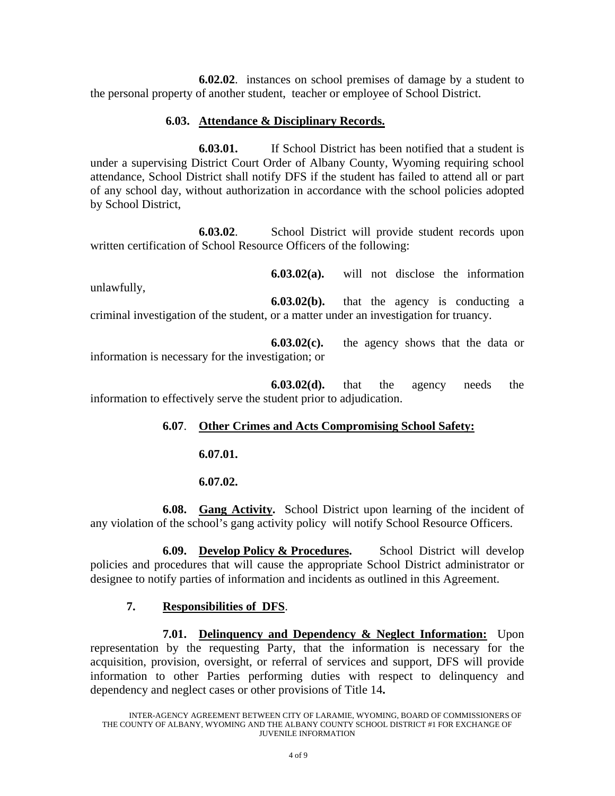**6.02.02**. instances on school premises of damage by a student to the personal property of another student, teacher or employee of School District.

#### **6.03. Attendance & Disciplinary Records.**

**6.03.01.** If School District has been notified that a student is under a supervising District Court Order of Albany County, Wyoming requiring school attendance, School District shall notify DFS if the student has failed to attend all or part of any school day, without authorization in accordance with the school policies adopted by School District,

**6.03.02**. School District will provide student records upon written certification of School Resource Officers of the following:

**6.03.02(a).** will not disclose the information unlawfully, **6.03.02(b).** that the agency is conducting a criminal investigation of the student, or a matter under an investigation for truancy.

**6.03.02(c).** the agency shows that the data or information is necessary for the investigation; or

**6.03.02(d).** that the agency needs the information to effectively serve the student prior to adjudication.

#### **6.07**. **Other Crimes and Acts Compromising School Safety:**

 **6.07.01.**

**6.07.02.**

 **6.08. Gang Activity.** School District upon learning of the incident of any violation of the school's gang activity policy will notify School Resource Officers.

 **6.09. Develop Policy & Procedures.** School District will develop policies and procedures that will cause the appropriate School District administrator or designee to notify parties of information and incidents as outlined in this Agreement.

#### **7. Responsibilities of DFS**.

 **7.01. Delinquency and Dependency & Neglect Information:** Upon representation by the requesting Party, that the information is necessary for the acquisition, provision, oversight, or referral of services and support, DFS will provide information to other Parties performing duties with respect to delinquency and dependency and neglect cases or other provisions of Title 14**.** 

INTER-AGENCY AGREEMENT BETWEEN CITY OF LARAMIE, WYOMING, BOARD OF COMMISSIONERS OF THE COUNTY OF ALBANY, WYOMING AND THE ALBANY COUNTY SCHOOL DISTRICT #1 FOR EXCHANGE OF JUVENILE INFORMATION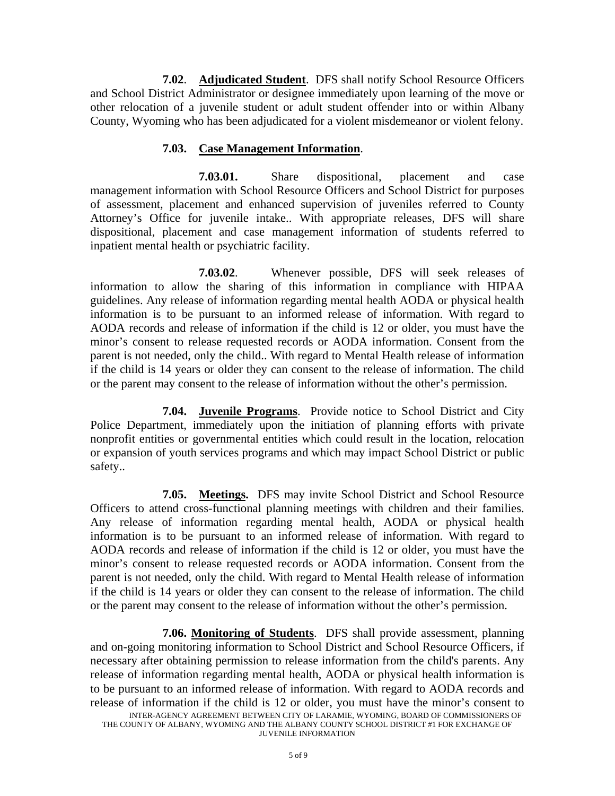**7.02**. **Adjudicated Student**. DFS shall notify School Resource Officers and School District Administrator or designee immediately upon learning of the move or other relocation of a juvenile student or adult student offender into or within Albany County, Wyoming who has been adjudicated for a violent misdemeanor or violent felony.

#### **7.03. Case Management Information**.

 **7.03.01.** Share dispositional, placement and case management information with School Resource Officers and School District for purposes of assessment, placement and enhanced supervision of juveniles referred to County Attorney's Office for juvenile intake.. With appropriate releases, DFS will share dispositional, placement and case management information of students referred to inpatient mental health or psychiatric facility.

 **7.03.02**. Whenever possible, DFS will seek releases of information to allow the sharing of this information in compliance with HIPAA guidelines. Any release of information regarding mental health AODA or physical health information is to be pursuant to an informed release of information. With regard to AODA records and release of information if the child is 12 or older, you must have the minor's consent to release requested records or AODA information. Consent from the parent is not needed, only the child.. With regard to Mental Health release of information if the child is 14 years or older they can consent to the release of information. The child or the parent may consent to the release of information without the other's permission.

 **7.04. Juvenile Programs**. Provide notice to School District and City Police Department, immediately upon the initiation of planning efforts with private nonprofit entities or governmental entities which could result in the location, relocation or expansion of youth services programs and which may impact School District or public safety..

 **7.05. Meetings.** DFS may invite School District and School Resource Officers to attend cross-functional planning meetings with children and their families. Any release of information regarding mental health, AODA or physical health information is to be pursuant to an informed release of information. With regard to AODA records and release of information if the child is 12 or older, you must have the minor's consent to release requested records or AODA information. Consent from the parent is not needed, only the child. With regard to Mental Health release of information if the child is 14 years or older they can consent to the release of information. The child or the parent may consent to the release of information without the other's permission.

 **7.06. Monitoring of Students**. DFS shall provide assessment, planning and on-going monitoring information to School District and School Resource Officers, if necessary after obtaining permission to release information from the child's parents. Any release of information regarding mental health, AODA or physical health information is to be pursuant to an informed release of information. With regard to AODA records and release of information if the child is 12 or older, you must have the minor's consent to

INTER-AGENCY AGREEMENT BETWEEN CITY OF LARAMIE, WYOMING, BOARD OF COMMISSIONERS OF THE COUNTY OF ALBANY, WYOMING AND THE ALBANY COUNTY SCHOOL DISTRICT #1 FOR EXCHANGE OF JUVENILE INFORMATION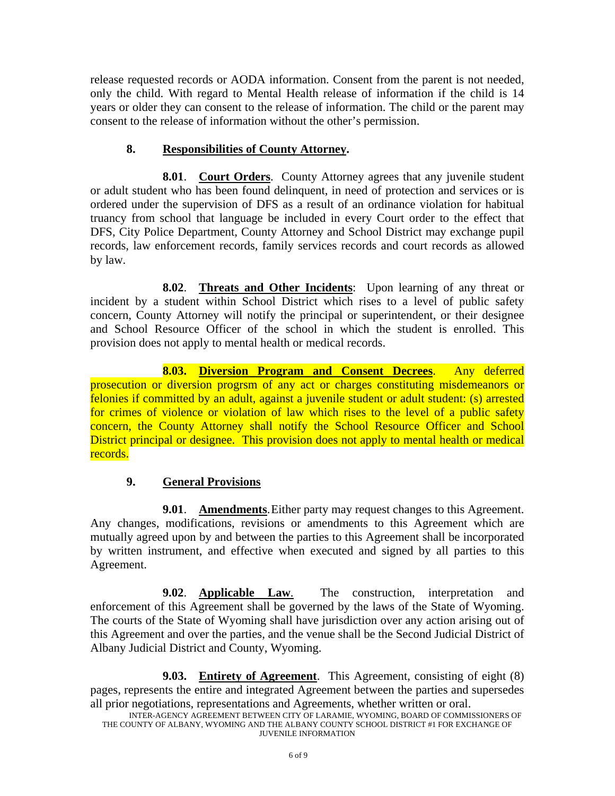release requested records or AODA information. Consent from the parent is not needed, only the child. With regard to Mental Health release of information if the child is 14 years or older they can consent to the release of information. The child or the parent may consent to the release of information without the other's permission.

# **8. Responsibilities of County Attorney.**

 **8.01**. **Court Orders**. County Attorney agrees that any juvenile student or adult student who has been found delinquent, in need of protection and services or is ordered under the supervision of DFS as a result of an ordinance violation for habitual truancy from school that language be included in every Court order to the effect that DFS, City Police Department, County Attorney and School District may exchange pupil records, law enforcement records, family services records and court records as allowed by law.

 **8.02**. **Threats and Other Incidents**: Upon learning of any threat or incident by a student within School District which rises to a level of public safety concern, County Attorney will notify the principal or superintendent, or their designee and School Resource Officer of the school in which the student is enrolled. This provision does not apply to mental health or medical records.

 **8.03. Diversion Program and Consent Decrees**. Any deferred prosecution or diversion progrsm of any act or charges constituting misdemeanors or felonies if committed by an adult, against a juvenile student or adult student: (s) arrested for crimes of violence or violation of law which rises to the level of a public safety concern, the County Attorney shall notify the School Resource Officer and School District principal or designee. This provision does not apply to mental health or medical records.

# **9. General Provisions**

 **9.01**. **Amendments**. Either party may request changes to this Agreement. Any changes, modifications, revisions or amendments to this Agreement which are mutually agreed upon by and between the parties to this Agreement shall be incorporated by written instrument, and effective when executed and signed by all parties to this Agreement.

**9.02**. **Applicable Law**. The construction, interpretation and enforcement of this Agreement shall be governed by the laws of the State of Wyoming. The courts of the State of Wyoming shall have jurisdiction over any action arising out of this Agreement and over the parties, and the venue shall be the Second Judicial District of Albany Judicial District and County, Wyoming.

 **9.03. Entirety of Agreement**. This Agreement, consisting of eight (8) pages, represents the entire and integrated Agreement between the parties and supersedes all prior negotiations, representations and Agreements, whether written or oral.

INTER-AGENCY AGREEMENT BETWEEN CITY OF LARAMIE, WYOMING, BOARD OF COMMISSIONERS OF THE COUNTY OF ALBANY, WYOMING AND THE ALBANY COUNTY SCHOOL DISTRICT #1 FOR EXCHANGE OF JUVENILE INFORMATION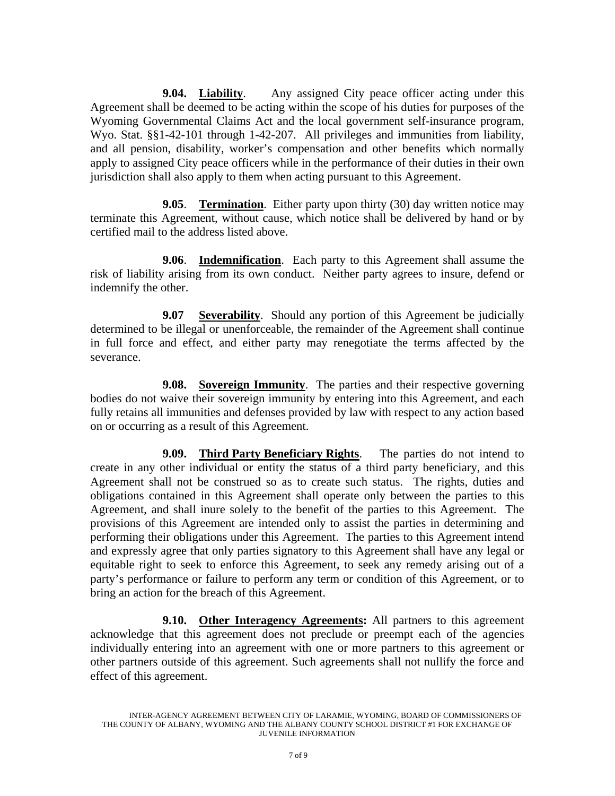**9.04.** Liability. Any assigned City peace officer acting under this Agreement shall be deemed to be acting within the scope of his duties for purposes of the Wyoming Governmental Claims Act and the local government self-insurance program, Wyo. Stat. §§1-42-101 through 1-42-207. All privileges and immunities from liability, and all pension, disability, worker's compensation and other benefits which normally apply to assigned City peace officers while in the performance of their duties in their own jurisdiction shall also apply to them when acting pursuant to this Agreement.

 **9.05**. **Termination**. Either party upon thirty (30) day written notice may terminate this Agreement, without cause, which notice shall be delivered by hand or by certified mail to the address listed above.

 **9.06**. **Indemnification**. Each party to this Agreement shall assume the risk of liability arising from its own conduct. Neither party agrees to insure, defend or indemnify the other.

**9.07 Severability.** Should any portion of this Agreement be judicially determined to be illegal or unenforceable, the remainder of the Agreement shall continue in full force and effect, and either party may renegotiate the terms affected by the severance.

**9.08.** Sovereign Immunity. The parties and their respective governing bodies do not waive their sovereign immunity by entering into this Agreement, and each fully retains all immunities and defenses provided by law with respect to any action based on or occurring as a result of this Agreement.

**9.09. Third Party Beneficiary Rights**. The parties do not intend to create in any other individual or entity the status of a third party beneficiary, and this Agreement shall not be construed so as to create such status. The rights, duties and obligations contained in this Agreement shall operate only between the parties to this Agreement, and shall inure solely to the benefit of the parties to this Agreement. The provisions of this Agreement are intended only to assist the parties in determining and performing their obligations under this Agreement. The parties to this Agreement intend and expressly agree that only parties signatory to this Agreement shall have any legal or equitable right to seek to enforce this Agreement, to seek any remedy arising out of a party's performance or failure to perform any term or condition of this Agreement, or to bring an action for the breach of this Agreement.

 **9.10. Other Interagency Agreements:** All partners to this agreement acknowledge that this agreement does not preclude or preempt each of the agencies individually entering into an agreement with one or more partners to this agreement or other partners outside of this agreement. Such agreements shall not nullify the force and effect of this agreement.

INTER-AGENCY AGREEMENT BETWEEN CITY OF LARAMIE, WYOMING, BOARD OF COMMISSIONERS OF THE COUNTY OF ALBANY, WYOMING AND THE ALBANY COUNTY SCHOOL DISTRICT #1 FOR EXCHANGE OF JUVENILE INFORMATION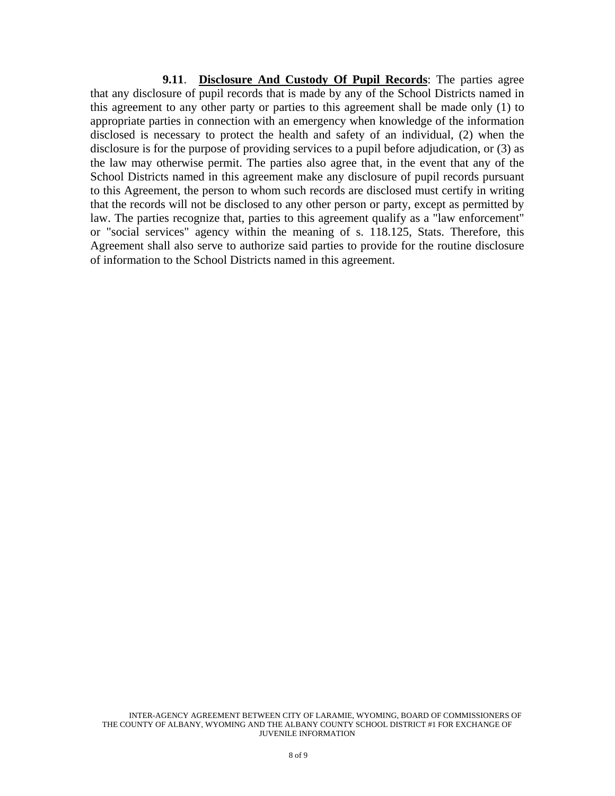**9.11**. **Disclosure And Custody Of Pupil Records**: The parties agree that any disclosure of pupil records that is made by any of the School Districts named in this agreement to any other party or parties to this agreement shall be made only (1) to appropriate parties in connection with an emergency when knowledge of the information disclosed is necessary to protect the health and safety of an individual, (2) when the disclosure is for the purpose of providing services to a pupil before adjudication, or (3) as the law may otherwise permit. The parties also agree that, in the event that any of the School Districts named in this agreement make any disclosure of pupil records pursuant to this Agreement, the person to whom such records are disclosed must certify in writing that the records will not be disclosed to any other person or party, except as permitted by law. The parties recognize that, parties to this agreement qualify as a "law enforcement" or "social services" agency within the meaning of s. 118.125, Stats. Therefore, this Agreement shall also serve to authorize said parties to provide for the routine disclosure of information to the School Districts named in this agreement.